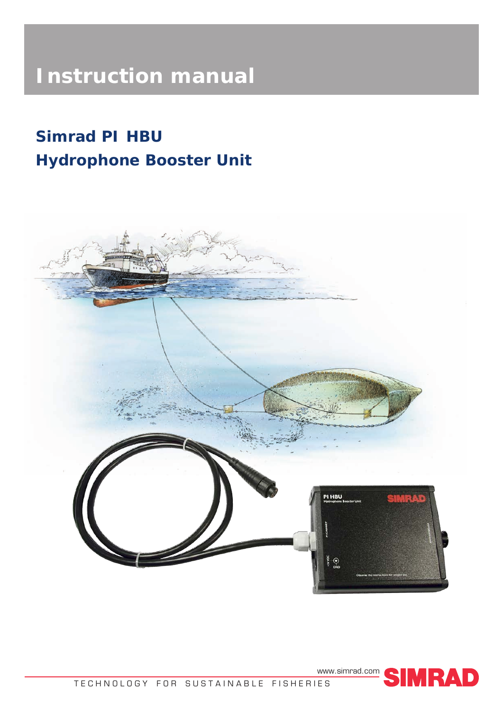# **Instruction manual**

# **Simrad PI HBU Hydrophone Booster Unit**



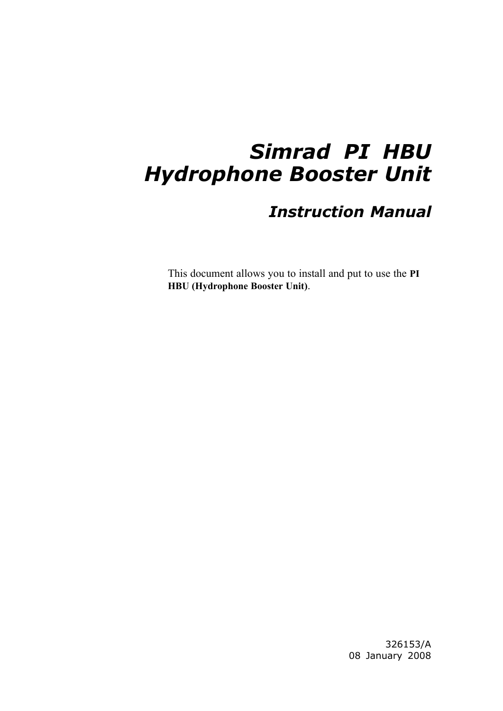# *Simrad PI HBU Hydrophone Booster Unit*

## *Instruction Manual*

This document allows you to install and pu<sup>t</sup> to use the **PI HBU (Hydrophone Booster Unit)**.

> 326153/A <sup>08</sup> January <sup>2008</sup>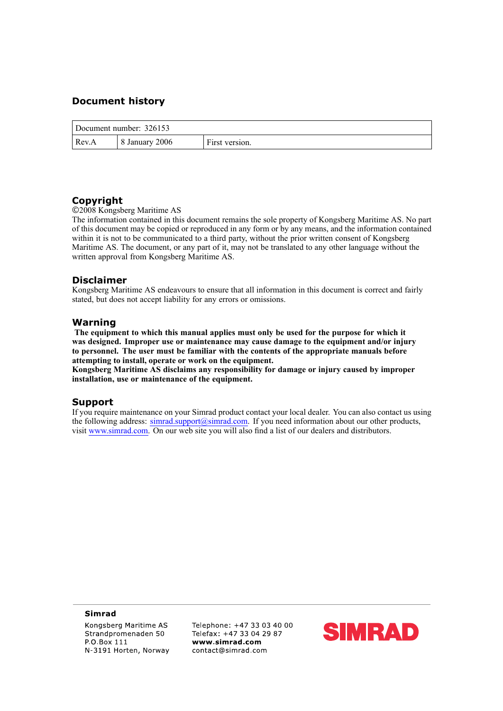### **Document history**

| Document number: 326153 |                |                |  |  |
|-------------------------|----------------|----------------|--|--|
| Rev.A                   | 8 January 2006 | First version. |  |  |

### **Copyright**

©<sup>2008</sup> Kongsberg Maritime AS

The information contained in this document remains the sole property of Kongsberg Maritime AS. No par<sup>t</sup> of this document may be copied or reproduced in any form or by any means, and the information contained within it is not to be communicated to <sup>a</sup> third party, without the prior written consent of Kongsberg Maritime AS. The document, or any part of it, may not be translated to any other language without the written approva<sup>l</sup> from Kongsberg Maritime AS.

#### **Disclaimer**

Kongsberg Maritime AS endeavours to ensure that all information in this document is correct and fairly stated, but does not accep<sup>t</sup> liability for any errors or omissions.

#### **Warning**

The equipment to which this manual applies must only be used for the purpose for which it was designed. Improper use or maintenance may cause damage to the equipment and/or injury to personnel. The user must be familiar with the contents of the appropriate manuals before **attempting to install, operate or work on the equipment.**

Kongsberg Maritime AS disclaims any responsibility for damage or injury caused by improper **installation, use or maintenance of the equipment.**

#### **Support**

If you require maintenance on your Simrad product contact your local dealer. You can also contact us using the following address: [simrad.support@simrad.com](mailto:simrad.support@simrad.com). If you need information about our other products, visit [www.simrad.com](http://www.simrad.com). On our web site you will also find <sup>a</sup> list of our dealers and distributors.

#### **Simrad**

Kongsberg Maritime AS Strandpromenaden 50 P.O.Box 111 N-3191 Horten, Norway Telephone: +47 33 03 40 00 Telefax: +47 33 04 29 87 contact@simrad.com www simrad com

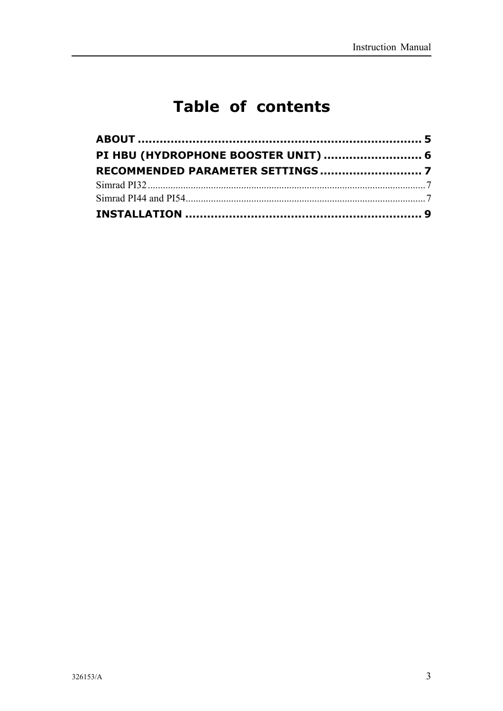## **Table of contents**

| PI HBU (HYDROPHONE BOOSTER UNIT)  6 |  |  |
|-------------------------------------|--|--|
|                                     |  |  |
|                                     |  |  |
|                                     |  |  |
|                                     |  |  |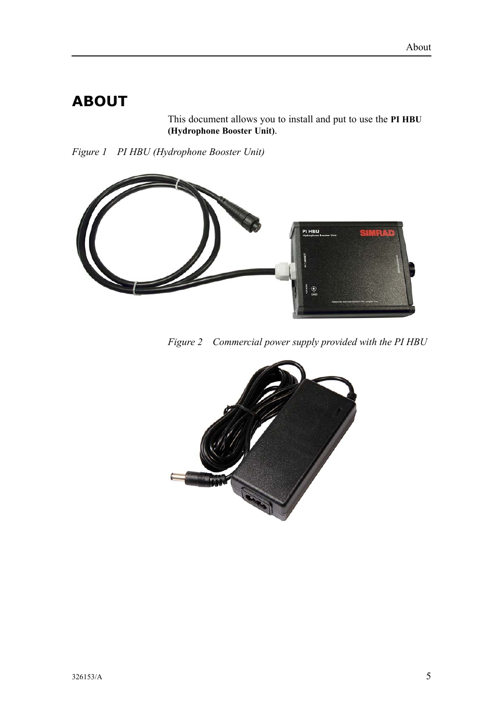## <span id="page-6-0"></span>**ABOUT**

This document allows you to install and pu<sup>t</sup> to use the **PI HBU (Hydrophone Booster Unit)**.

*Figure <sup>1</sup> PI HBU (Hydrophone Booster Unit)*



*Figure <sup>2</sup> Commercial power supply provided with the PI HBU*

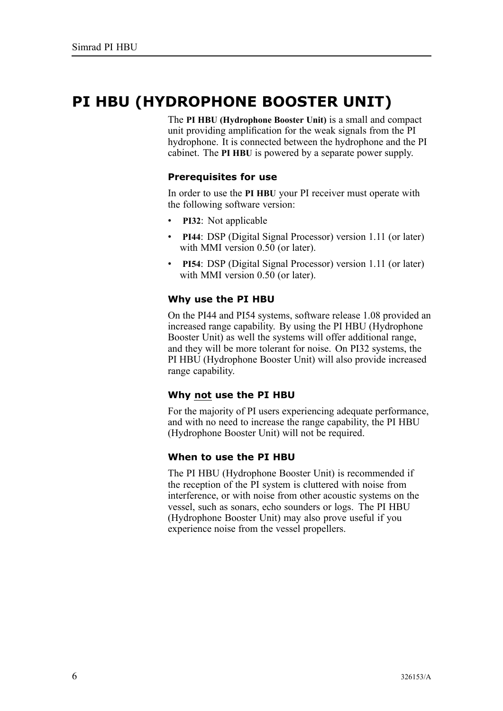## <span id="page-7-0"></span>**PI HBU (HYDROPHONE BOOSTER UNIT)**

The **PI HBU (Hydrophone Booster Unit)** is <sup>a</sup> small and compac<sup>t</sup> unit providing amplification for the weak signals from the PI hydrophone. It is connected between the hydrophone and the PI cabinet. The **PI HBU** is powered by <sup>a</sup> separate power supply.

### **Prerequisites for use**

In order to use the **PI HBU** your PI receiver must operate with the following software version:

- **PI32**: Not applicable
- • **PI44**: DSP (Digital Signal Processor) version 1.11 (or later) with MMI version 0.50 (or later).
- • **PI54**: DSP (Digital Signal Processor) version 1.11 (or later) with MMI version 0.50 (or later).

### **Why use the PI HBU**

On the PI44 and PI54 systems, software release 1.08 provided an increased range capability. By using the PI HBU (Hydrophone Booster Unit) as well the systems will offer additional range, and they will be more tolerant for noise. On PI32 systems, the PI HBU (Hydrophone Booster Unit) will also provide increased range capability.

### **Why not use the PI HBU**

For the majority of PI users experiencing adequate performance, and with no need to increase the range capability, the PI HBU (Hydrophone Booster Unit) will not be required.

### **When to use the PI HBU**

The PI HBU (Hydrophone Booster Unit) is recommended if the reception of the PI system is cluttered with noise from interference, or with noise from other acoustic systems on the vessel, such as sonars, echo sounders or logs. The PI HBU (Hydrophone Booster Unit) may also prove useful if you experience noise from the vessel propellers.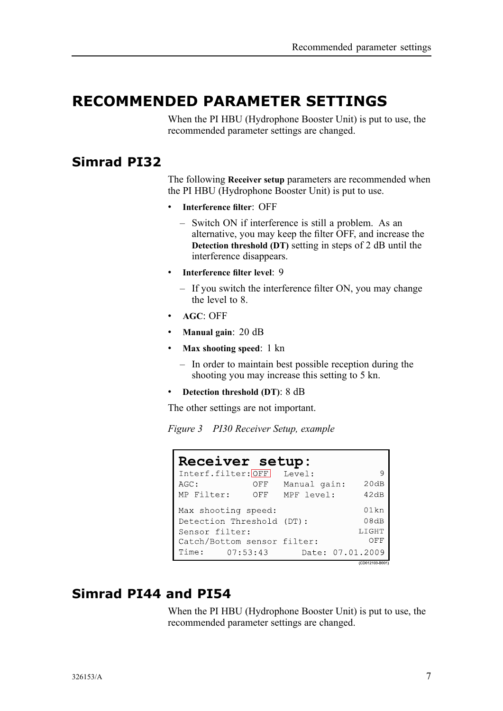### <span id="page-8-0"></span>**RECOMMENDED PARAMETER SETTINGS**

When the PI HBU (Hydrophone Booster Unit) is pu<sup>t</sup> to use, the recommended parameter settings are changed.

### **Simrad PI32**

The following **Receiver setup** parameters are recommended when the PI HBU (Hydrophone Booster Unit) is pu<sup>t</sup> to use.

- **Interference filter**: OFF
	- Switch ON if interference is still <sup>a</sup> problem. As an alternative, you may keep the filter OFF, and increase the **Detection threshold (DT)** setting in steps of <sup>2</sup> dB until the interference disappears.
- **Interference filter level**: <sup>9</sup>
	- If you switch the interference filter ON, you may change the level to 8.
- **AGC**: OFF
- **Manual gain**: <sup>20</sup> dB
- **Max shooting speed**: <sup>1</sup> kn
	- In order to maintain best possible reception during the shooting you may increase this setting to <sup>5</sup> kn.
- **Detection threshold (DT)**: <sup>8</sup> dB

The other settings are not important.

*Figure <sup>3</sup> PI30 Receiver Setup, example*

| Receiver setup:             |                      |  |  |  |  |  |  |
|-----------------------------|----------------------|--|--|--|--|--|--|
| Interf.filter: OFF          | Level:<br>9          |  |  |  |  |  |  |
| AGC:<br>OFF                 | 20dB<br>Manual gain: |  |  |  |  |  |  |
| MP Filter:<br>OFF           | 42dB<br>MPF level:   |  |  |  |  |  |  |
| Max shooting speed:         | $01$ kn              |  |  |  |  |  |  |
| Detection Threshold (DT):   | 08dB                 |  |  |  |  |  |  |
| Sensor filter:              | LIGHT                |  |  |  |  |  |  |
| Catch/Bottom sensor filter: | OFF                  |  |  |  |  |  |  |
| Time: 07:53:43              | Date: 07.01.2009     |  |  |  |  |  |  |
|                             | (CD012103-B001)      |  |  |  |  |  |  |

### **Simrad PI44 and PI54**

When the PI HBU (Hydrophone Booster Unit) is pu<sup>t</sup> to use, the recommended parameter settings are changed.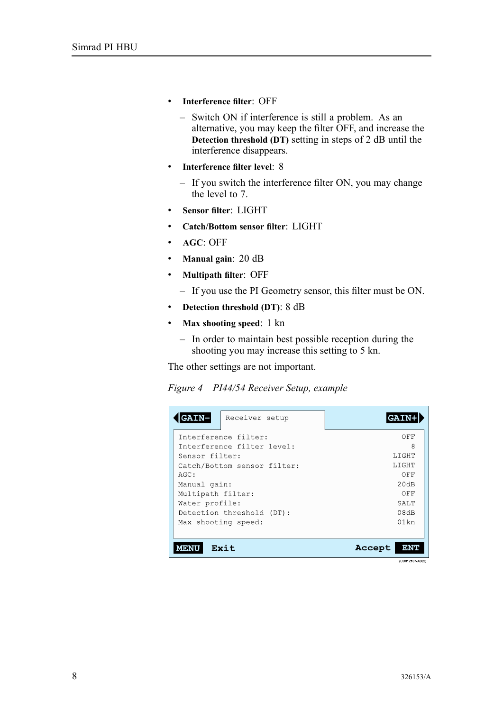- **Interference filter**: OFF
	- Switch ON if interference is still <sup>a</sup> problem. As an alternative, you may keep the filter OFF, and increase the **Detection threshold (DT)** setting in steps of <sup>2</sup> dB until the interference disappears.
- **Interference filter level**: <sup>8</sup>
	- If you switch the interference filter ON, you may change the level to 7.
- **Sensor filter**: LIGHT
- **Catch/Bottom sensor filter**: LIGHT
- **AGC**: OFF
- **Manual gain**: <sup>20</sup> dB
- **Multipath filter**: OFF
	- If you use the PI Geometry sensor, this filter must be ON.
- **Detection threshold (DT)**: <sup>8</sup> dB
- **Max shooting speed**: <sup>1</sup> kn
	- In order to maintain best possible reception during the shooting you may increase this setting to <sup>5</sup> kn.

The other settings are not important.

| Figure 4 PI44/54 Receiver Setup, example |  |  |  |
|------------------------------------------|--|--|--|
|                                          |  |  |  |

| <b>GAIN-</b><br>Receiver setup | <b>GAI</b>        |
|--------------------------------|-------------------|
| Interference filter:           | OFF               |
| Interference filter level:     | 8                 |
| Sensor filter:                 | LIGHT             |
| Catch/Bottom sensor filter:    | LIGHT             |
| AGC:                           | OFF               |
| Manual gain:                   | 20dB              |
| Multipath filter:              | OFF               |
| Water profile:                 | SALT <sub>T</sub> |
| Detection threshold (DT):      | 08dB              |
| Max shooting speed:            | $01$ kn           |
|                                |                   |
| Exit<br>MENU                   | Accept<br>ENT     |

(CD012107-A002)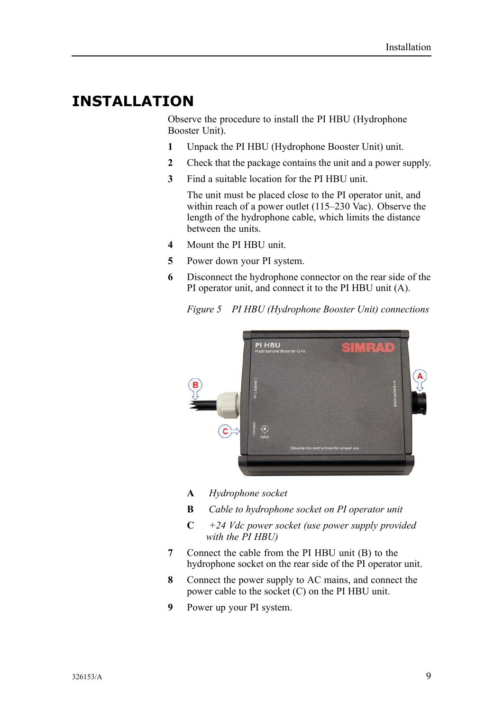### <span id="page-10-0"></span>**INSTALLATION**

Observe the procedure to install the PI HBU (Hydrophone Booster Unit).

- **1** Unpack the PI HBU (Hydrophone Booster Unit) unit.<br>**2** Check that the package contains the unit and a power s
- **<sup>2</sup>** Check that the package contains the unit and <sup>a</sup> power supply.
- **<sup>3</sup>** Find <sup>a</sup> suitable location for the PI HBU unit.

The unit must be <sup>p</sup>laced close to the PI operator unit, and within reach of <sup>a</sup> power outlet (115–230 Vac). Observe the length of the hydrophone cable, which limits the distance between the units.

- **<sup>4</sup>** Mount the PI HBU unit.
- **<sup>5</sup>** Power down your PI system.
- **<sup>6</sup>** Disconnect the hydrophone connector on the rear side of the PI operator unit, and connect it to the PI HBU unit (A).

*Figure <sup>5</sup> PI HBU (Hydrophone Booster Unit) connections*



- **<sup>A</sup>** *Hydrophone socket*
- **<sup>B</sup>** *Cable to hydrophone socket on PI operator unit*
- **<sup>C</sup>** *+24 Vdc power socket (use power supply provided with the PI HBU)*
- **<sup>7</sup>** Connect the cable from the PI HBU unit (B) to the hydrophone socket on the rear side of the PI operator unit.
- **<sup>8</sup>** Connect the power supply to AC mains, and connect the power cable to the socket (C) on the PI HBU unit.
- **<sup>9</sup>** Power up your PI system.